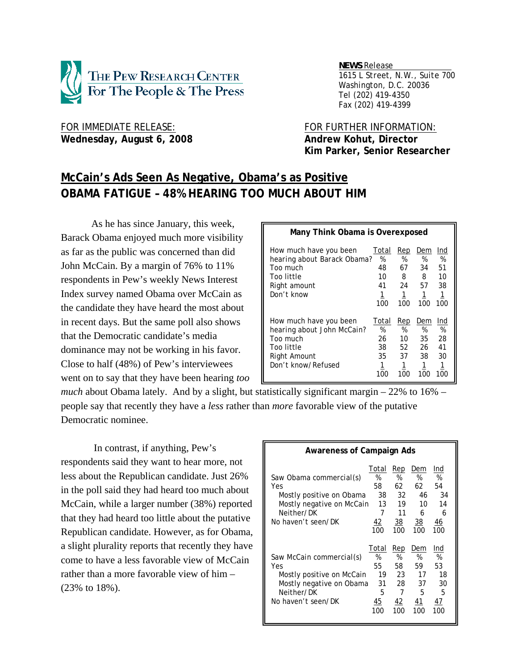

 *NEWS Release . 1615 L Street, N.W., Suite 700 Washington, D.C. 20036 Tel (202) 419-4350 Fax (202) 419-4399*

Wednesday, August 6, 2008 **Andrew Kohut, Director** 

FOR IMMEDIATE RELEASE: FOR FURTHER INFORMATION:  **Kim Parker, Senior Researcher** 

# **McCain's Ads Seen As Negative, Obama's as Positive OBAMA FATIGUE – 48% HEARING TOO MUCH ABOUT HIM**

As he has since January, this week, Barack Obama enjoyed much more visibility as far as the public was concerned than did John McCain. By a margin of 76% to 11% respondents in Pew's weekly News Interest Index survey named Obama over McCain as the candidate they have heard the most about in recent days. But the same poll also shows that the Democratic candidate's media dominance may not be working in his favor. Close to half (48%) of Pew's interviewees went on to say that they have been hearing *too* 

| Many Think Obama is Overexposed                                                                                      |                                          |                                        |                                        |                                        |  |  |  |
|----------------------------------------------------------------------------------------------------------------------|------------------------------------------|----------------------------------------|----------------------------------------|----------------------------------------|--|--|--|
| How much have you been<br>hearing about Barack Obama?<br>Too much<br>Too little<br>Right amount<br>Don't know        | Total<br>%<br>48<br>10<br>41<br>1<br>100 | Rep<br>%<br>67<br>8<br>24<br>1<br>100  | Dem<br>%<br>34<br>8<br>57<br>1<br>100  | Ind<br>%<br>51<br>10<br>38<br>1<br>100 |  |  |  |
| How much have you been<br>hearing about John McCain?<br>Too much<br>Too little<br>Right Amount<br>Don't know/Refused | Total<br>%<br>26<br>38<br>35<br>1<br>100 | Rep<br>%<br>10<br>52<br>37<br>1<br>100 | Dem<br>%<br>35<br>26<br>38<br>1<br>100 | Ind<br>%<br>28<br>41<br>30<br>1<br>100 |  |  |  |

*much* about Obama lately. And by a slight, but statistically significant margin – 22% to 16% – people say that recently they have a *less* rather than *more* favorable view of the putative Democratic nominee.

 In contrast, if anything, Pew's respondents said they want to hear more, not less about the Republican candidate. Just 26% in the poll said they had heard too much about McCain, while a larger number (38%) reported that they had heard too little about the putative Republican candidate. However, as for Obama, a slight plurality reports that recently they have come to have a less favorable view of McCain rather than a more favorable view of him – (23% to 18%).

| <b>Awareness of Campaign Ads</b>                                                                                             |                                                |                                                     |                                                          |                                              |
|------------------------------------------------------------------------------------------------------------------------------|------------------------------------------------|-----------------------------------------------------|----------------------------------------------------------|----------------------------------------------|
| Saw Obama commercial(s)<br>Yes<br>Mostly positive on Obama<br>Mostly negative on McCain<br>Neither/DK<br>No haven't seen/DK  | Total<br>%<br>58<br>38<br>13<br>7<br>42<br>100 | Rep<br>%<br>62<br>32<br>19<br>11<br>38<br>100       | Dem<br>%<br>62<br>46<br>10<br>6<br>$\frac{38}{5}$<br>100 | Ind<br>%<br>54<br>34<br>14<br>6<br>46<br>100 |
| Saw McCain commercial(s)<br>Yes<br>Mostly positive on McCain<br>Mostly negative on Obama<br>Neither/DK<br>No haven't seen/DK | Total<br>%<br>55<br>19<br>31<br>5<br>45<br>100 | <u>Rep</u><br>%<br>58<br>23<br>28<br>7<br>42<br>100 | Dem<br>%<br>59<br>17<br>37<br>5<br>41<br>100             | Ind<br>%<br>53<br>18<br>30<br>5<br>47<br>100 |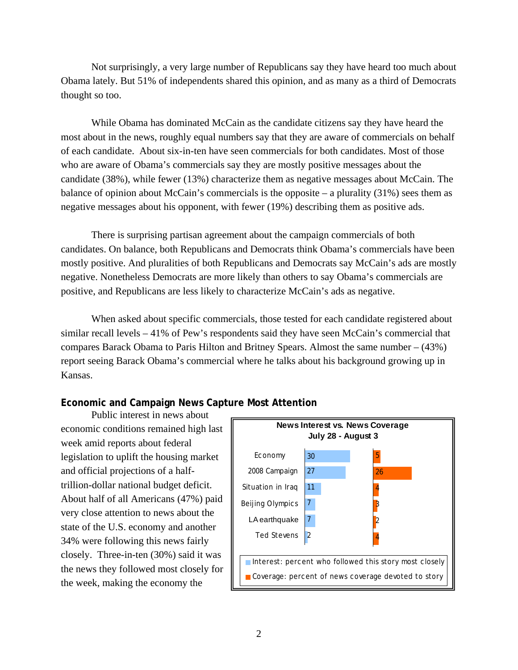Not surprisingly, a very large number of Republicans say they have heard too much about Obama lately. But 51% of independents shared this opinion, and as many as a third of Democrats thought so too.

While Obama has dominated McCain as the candidate citizens say they have heard the most about in the news, roughly equal numbers say that they are aware of commercials on behalf of each candidate. About six-in-ten have seen commercials for both candidates. Most of those who are aware of Obama's commercials say they are mostly positive messages about the candidate (38%), while fewer (13%) characterize them as negative messages about McCain. The balance of opinion about McCain's commercials is the opposite – a plurality  $(31\%)$  sees them as negative messages about his opponent, with fewer (19%) describing them as positive ads.

There is surprising partisan agreement about the campaign commercials of both candidates. On balance, both Republicans and Democrats think Obama's commercials have been mostly positive. And pluralities of both Republicans and Democrats say McCain's ads are mostly negative. Nonetheless Democrats are more likely than others to say Obama's commercials are positive, and Republicans are less likely to characterize McCain's ads as negative.

When asked about specific commercials, those tested for each candidate registered about similar recall levels – 41% of Pew's respondents said they have seen McCain's commercial that compares Barack Obama to Paris Hilton and Britney Spears. Almost the same number – (43%) report seeing Barack Obama's commercial where he talks about his background growing up in Kansas.

## **Economic and Campaign News Capture Most Attention**

Public interest in news about economic conditions remained high last week amid reports about federal legislation to uplift the housing market and official projections of a halftrillion-dollar national budget deficit. About half of all Americans (47%) paid very close attention to news about the state of the U.S. economy and another 34% were following this news fairly closely. Three-in-ten (30%) said it was the news they followed most closely for the week, making the economy the

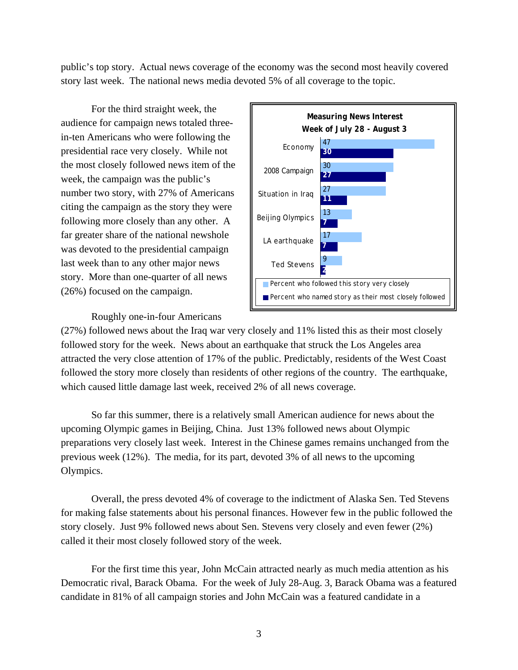public's top story. Actual news coverage of the economy was the second most heavily covered story last week. The national news media devoted 5% of all coverage to the topic.

For the third straight week, the audience for campaign news totaled threein-ten Americans who were following the presidential race very closely. While not the most closely followed news item of the week, the campaign was the public's number two story, with 27% of Americans citing the campaign as the story they were following more closely than any other. A far greater share of the national newshole was devoted to the presidential campaign last week than to any other major news story. More than one-quarter of all news (26%) focused on the campaign.

Roughly one-in-four Americans



(27%) followed news about the Iraq war very closely and 11% listed this as their most closely followed story for the week. News about an earthquake that struck the Los Angeles area attracted the very close attention of 17% of the public. Predictably, residents of the West Coast followed the story more closely than residents of other regions of the country. The earthquake, which caused little damage last week, received 2% of all news coverage.

So far this summer, there is a relatively small American audience for news about the upcoming Olympic games in Beijing, China. Just 13% followed news about Olympic preparations very closely last week. Interest in the Chinese games remains unchanged from the previous week (12%). The media, for its part, devoted 3% of all news to the upcoming Olympics.

Overall, the press devoted 4% of coverage to the indictment of Alaska Sen. Ted Stevens for making false statements about his personal finances. However few in the public followed the story closely. Just 9% followed news about Sen. Stevens very closely and even fewer (2%) called it their most closely followed story of the week.

For the first time this year, John McCain attracted nearly as much media attention as his Democratic rival, Barack Obama. For the week of July 28-Aug. 3, Barack Obama was a featured candidate in 81% of all campaign stories and John McCain was a featured candidate in a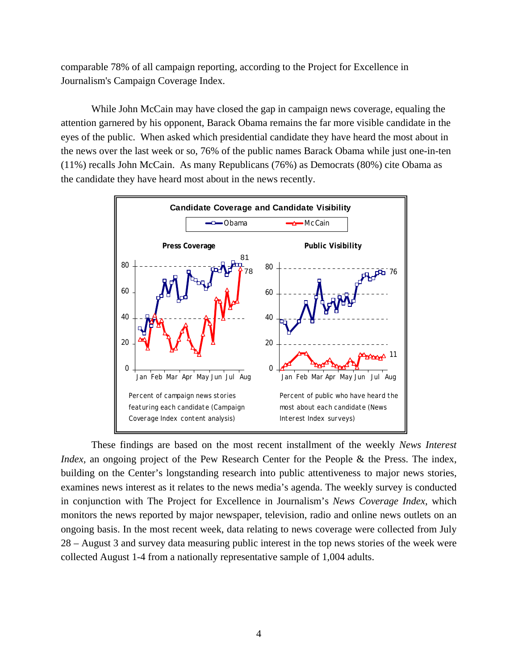comparable 78% of all campaign reporting, according to the Project for Excellence in Journalism's Campaign Coverage Index.

While John McCain may have closed the gap in campaign news coverage, equaling the attention garnered by his opponent, Barack Obama remains the far more visible candidate in the eyes of the public. When asked which presidential candidate they have heard the most about in the news over the last week or so, 76% of the public names Barack Obama while just one-in-ten (11%) recalls John McCain. As many Republicans (76%) as Democrats (80%) cite Obama as the candidate they have heard most about in the news recently.



These findings are based on the most recent installment of the weekly *News Interest Index*, an ongoing project of the Pew Research Center for the People & the Press. The index, building on the Center's longstanding research into public attentiveness to major news stories, examines news interest as it relates to the news media's agenda. The weekly survey is conducted in conjunction with The Project for Excellence in Journalism's *News Coverage Index*, which monitors the news reported by major newspaper, television, radio and online news outlets on an ongoing basis. In the most recent week, data relating to news coverage were collected from July 28 – August 3 and survey data measuring public interest in the top news stories of the week were collected August 1-4 from a nationally representative sample of 1,004 adults.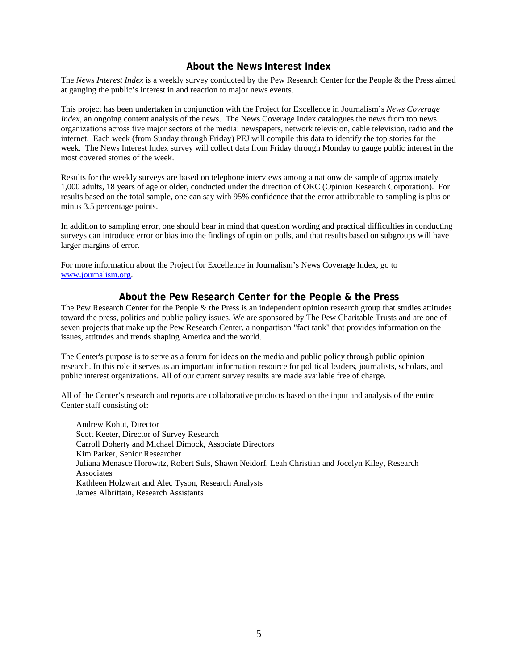## **About the News Interest Index**

The *News Interest Index* is a weekly survey conducted by the Pew Research Center for the People & the Press aimed at gauging the public's interest in and reaction to major news events.

This project has been undertaken in conjunction with the Project for Excellence in Journalism's *News Coverage Index*, an ongoing content analysis of the news. The News Coverage Index catalogues the news from top news organizations across five major sectors of the media: newspapers, network television, cable television, radio and the internet. Each week (from Sunday through Friday) PEJ will compile this data to identify the top stories for the week. The News Interest Index survey will collect data from Friday through Monday to gauge public interest in the most covered stories of the week.

Results for the weekly surveys are based on telephone interviews among a nationwide sample of approximately 1,000 adults, 18 years of age or older, conducted under the direction of ORC (Opinion Research Corporation). For results based on the total sample, one can say with 95% confidence that the error attributable to sampling is plus or minus 3.5 percentage points.

In addition to sampling error, one should bear in mind that question wording and practical difficulties in conducting surveys can introduce error or bias into the findings of opinion polls, and that results based on subgroups will have larger margins of error.

For more information about the Project for Excellence in Journalism's News Coverage Index, go to www.journalism.org.

## **About the Pew Research Center for the People & the Press**

The Pew Research Center for the People & the Press is an independent opinion research group that studies attitudes toward the press, politics and public policy issues. We are sponsored by The Pew Charitable Trusts and are one of seven projects that make up the Pew Research Center, a nonpartisan "fact tank" that provides information on the issues, attitudes and trends shaping America and the world.

The Center's purpose is to serve as a forum for ideas on the media and public policy through public opinion research. In this role it serves as an important information resource for political leaders, journalists, scholars, and public interest organizations. All of our current survey results are made available free of charge.

All of the Center's research and reports are collaborative products based on the input and analysis of the entire Center staff consisting of:

 Andrew Kohut, Director Scott Keeter, Director of Survey Research Carroll Doherty and Michael Dimock, Associate Directors Kim Parker, Senior Researcher Juliana Menasce Horowitz, Robert Suls, Shawn Neidorf, Leah Christian and Jocelyn Kiley, Research **Associates**  Kathleen Holzwart and Alec Tyson, Research Analysts James Albrittain, Research Assistants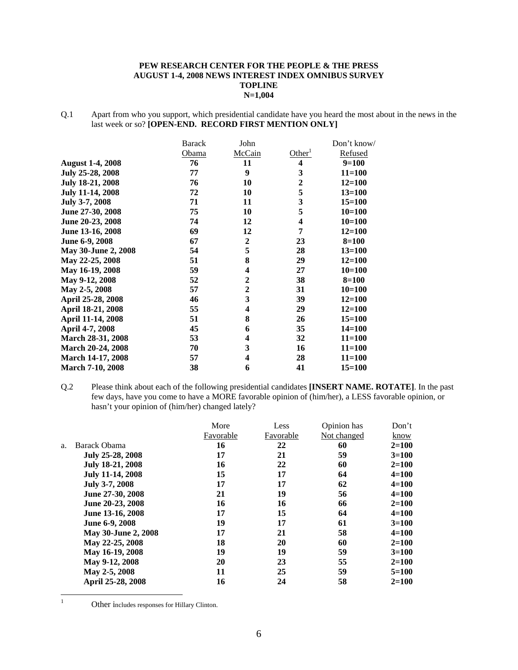#### **PEW RESEARCH CENTER FOR THE PEOPLE & THE PRESS AUGUST 1-4, 2008 NEWS INTEREST INDEX OMNIBUS SURVEY TOPLINE N=1,004**

Q.1 Apart from who you support, which presidential candidate have you heard the most about in the news in the last week or so? **[OPEN-END. RECORD FIRST MENTION ONLY]** 

|                          | <b>Barack</b> | John                    |                         | Don't know/ |
|--------------------------|---------------|-------------------------|-------------------------|-------------|
|                          | Obama         | McCain                  | Other <sup>1</sup>      | Refused     |
| <b>August 1-4, 2008</b>  | 76            | 11                      | $\overline{\mathbf{4}}$ | $9=100$     |
| July 25-28, 2008         | 77            | $\boldsymbol{9}$        | 3                       | $11 = 100$  |
| July 18-21, 2008         | 76            | 10                      | $\boldsymbol{2}$        | $12 = 100$  |
| <b>July 11-14, 2008</b>  | 72            | 10                      | 5                       | $13 = 100$  |
| July 3-7, 2008           | 71            | 11                      | 3                       | $15 = 100$  |
| June 27-30, 2008         | 75            | 10                      | 5                       | $10=100$    |
| June 20-23, 2008         | 74            | 12                      | $\overline{\mathbf{4}}$ | $10=100$    |
| June 13-16, 2008         | 69            | 12                      | 7                       | $12 = 100$  |
| June 6-9, 2008           | 67            | $\overline{2}$          | 23                      | $8 = 100$   |
| May 30-June 2, 2008      | 54            | 5                       | 28                      | $13 = 100$  |
| May 22-25, 2008          | 51            | 8                       | 29                      | $12 = 100$  |
| May 16-19, 2008          | 59            | 4                       | 27                      | $10=100$    |
| May 9-12, 2008           | 52            | $\mathbf{2}$            | 38                      | $8 = 100$   |
| May 2-5, 2008            | 57            | $\overline{2}$          | 31                      | $10=100$    |
| April 25-28, 2008        | 46            | $\mathbf{3}$            | 39                      | $12 = 100$  |
| April 18-21, 2008        | 55            | $\overline{\mathbf{4}}$ | 29                      | $12 = 100$  |
| April 11-14, 2008        | 51            | 8                       | 26                      | $15 = 100$  |
| April 4-7, 2008          | 45            | 6                       | 35                      | $14 = 100$  |
| March 28-31, 2008        | 53            | 4                       | 32                      | $11 = 100$  |
| March 20-24, 2008        | 70            | 3                       | 16                      | $11 = 100$  |
| <b>March 14-17, 2008</b> | 57            | $\overline{\mathbf{4}}$ | 28                      | $11 = 100$  |
| <b>March 7-10, 2008</b>  | 38            | 6                       | 41                      | $15 = 100$  |

Q.2 Please think about each of the following presidential candidates **[INSERT NAME. ROTATE]**. In the past few days, have you come to have a MORE favorable opinion of (him/her), a LESS favorable opinion, or hasn't your opinion of (him/her) changed lately?

|    |                     | More      | Less      | Opinion has | Don't     |
|----|---------------------|-----------|-----------|-------------|-----------|
|    |                     | Favorable | Favorable | Not changed | know      |
| a. | Barack Obama        | 16        | 22        | 60          | $2=100$   |
|    | July 25-28, 2008    | 17        | 21        | 59          | $3=100$   |
|    | July 18-21, 2008    | 16        | 22        | 60          | $2=100$   |
|    | July 11-14, 2008    | 15        | 17        | 64          | $4 = 100$ |
|    | July 3-7, 2008      | 17        | 17        | 62          | $4 = 100$ |
|    | June 27-30, 2008    | 21        | 19        | 56          | $4 = 100$ |
|    | June 20-23, 2008    | 16        | 16        | 66          | $2=100$   |
|    | June 13-16, 2008    | 17        | 15        | 64          | $4 = 100$ |
|    | June 6-9, 2008      | 19        | 17        | 61          | $3=100$   |
|    | May 30-June 2, 2008 | 17        | 21        | 58          | $4 = 100$ |
|    | May 22-25, 2008     | 18        | 20        | 60          | $2=100$   |
|    | May 16-19, 2008     | 19        | 19        | 59          | $3=100$   |
|    | May 9-12, 2008      | 20        | 23        | 55          | $2=100$   |
|    | May 2-5, 2008       | 11        | 25        | 59          | $5=100$   |
|    | April 25-28, 2008   | 16        | 24        | 58          | $2 = 100$ |

 $\frac{1}{1}$ 

Other includes responses for Hillary Clinton.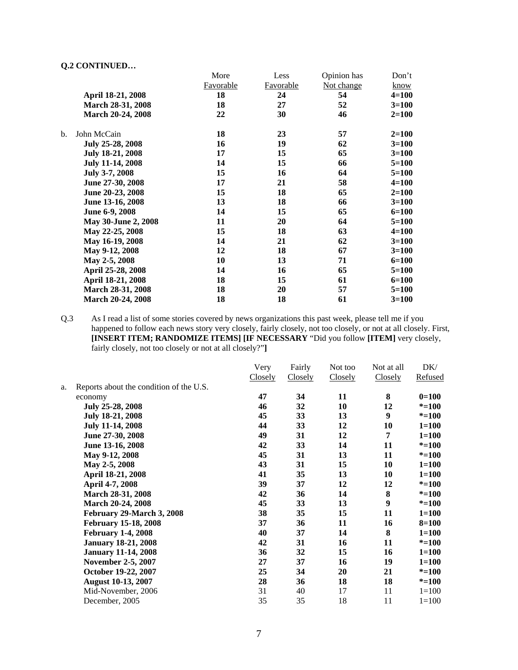|     |                          | More             | Less             | Opinion has | Don't     |
|-----|--------------------------|------------------|------------------|-------------|-----------|
|     |                          | <b>Favorable</b> | <b>Favorable</b> | Not change  | know      |
|     | April 18-21, 2008        | 18               | 24               | 54          | $4 = 100$ |
|     | March 28-31, 2008        | 18               | 27               | 52          | $3=100$   |
|     | <b>March 20-24, 2008</b> | 22               | 30               | 46          | $2=100$   |
| $b$ | John McCain              | 18               | 23               | 57          | $2=100$   |
|     | July 25-28, 2008         | 16               | 19               | 62          | $3=100$   |
|     | July 18-21, 2008         | 17               | 15               | 65          | $3=100$   |
|     | <b>July 11-14, 2008</b>  | 14               | 15               | 66          | $5=100$   |
|     | July 3-7, 2008           | 15               | 16               | 64          | $5=100$   |
|     | June 27-30, 2008         | 17               | 21               | 58          | $4 = 100$ |
|     | June 20-23, 2008         | 15               | 18               | 65          | $2=100$   |
|     | June 13-16, 2008         | 13               | 18               | 66          | $3 = 100$ |
|     | June 6-9, 2008           | 14               | 15               | 65          | $6=100$   |
|     | May 30-June 2, 2008      | 11               | 20               | 64          | $5 = 100$ |
|     | May 22-25, 2008          | 15               | 18               | 63          | $4 = 100$ |
|     | May 16-19, 2008          | 14               | 21               | 62          | $3 = 100$ |
|     | May 9-12, 2008           | 12               | 18               | 67          | $3=100$   |
|     | May 2-5, 2008            | 10               | 13               | 71          | $6=100$   |
|     | April 25-28, 2008        | 14               | 16               | 65          | $5=100$   |
|     | April 18-21, 2008        | 18               | 15               | 61          | $6=100$   |
|     | March 28-31, 2008        | 18               | 20               | 57          | $5=100$   |
|     | <b>March 20-24, 2008</b> | 18               | 18               | 61          | $3=100$   |

Q.3 As I read a list of some stories covered by news organizations this past week, please tell me if you happened to follow each news story very closely, fairly closely, not too closely, or not at all closely. First, **[INSERT ITEM; RANDOMIZE ITEMS] [IF NECESSARY** "Did you follow **[ITEM]** very closely, fairly closely, not too closely or not at all closely?"**]** 

|                                         |         | Fairly  |         |         | DK/        |
|-----------------------------------------|---------|---------|---------|---------|------------|
|                                         | Closely | Closely | Closely | Closely | Refused    |
| Reports about the condition of the U.S. |         |         |         |         |            |
| economy                                 | 47      | 34      | 11      | 8       | $0=100$    |
| July 25-28, 2008                        | 46      | 32      | 10      | 12      | $* = 100$  |
| July 18-21, 2008                        | 45      | 33      | 13      | 9       | $* = 100$  |
| <b>July 11-14, 2008</b>                 | 44      | 33      | 12      | 10      | $1 = 100$  |
| June 27-30, 2008                        | 49      | 31      | 12      | 7       | $1 = 100$  |
| June 13-16, 2008                        | 42      | 33      | 14      | 11      | $* = 100$  |
| May 9-12, 2008                          | 45      | 31      | 13      | 11      | $* = 100$  |
| May 2-5, 2008                           | 43      | 31      | 15      | 10      | $1 = 100$  |
| April 18-21, 2008                       | 41      | 35      | 13      | 10      | $1 = 100$  |
| April 4-7, 2008                         | 39      | 37      | 12      | 12      | $* = 100$  |
| March 28-31, 2008                       | 42      | 36      | 14      | 8       | $* = 100$  |
| March 20-24, 2008                       | 45      | 33      | 13      | 9       | $* = 100$  |
| February 29-March 3, 2008               | 38      | 35      | 15      | 11      | $1 = 100$  |
| <b>February 15-18, 2008</b>             | 37      | 36      | 11      | 16      | $8 = 100$  |
| <b>February 1-4, 2008</b>               | 40      | 37      | 14      | 8       | $1 = 100$  |
| <b>January 18-21, 2008</b>              | 42      | 31      | 16      | 11      | $* = 100$  |
| <b>January 11-14, 2008</b>              | 36      | 32      | 15      | 16      | $1 = 100$  |
| <b>November 2-5, 2007</b>               | 27      | 37      | 16      | 19      | $1 = 100$  |
| October 19-22, 2007                     | 25      | 34      | 20      | 21      | $* = 100$  |
| <b>August 10-13, 2007</b>               | 28      | 36      | 18      | 18      | $* = 100$  |
| Mid-November, 2006                      | 31      | 40      | 17      | 11      | $1 = 100$  |
| December, 2005                          | 35      | 35      | 18      | 11      | $1 = 100$  |
|                                         |         | Very    |         | Not too | Not at all |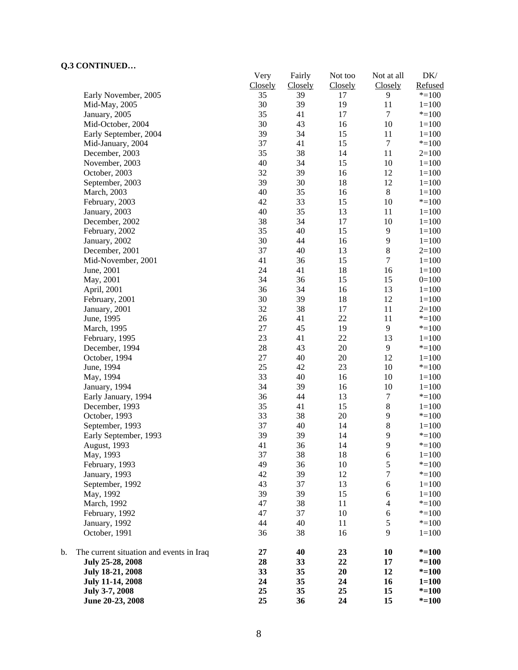| CONTROLLOW                                     | Very<br>Closely | Fairly<br>Closely | Not too<br>Closely | Not at all<br>Closely    | $DK/$<br>Refused |
|------------------------------------------------|-----------------|-------------------|--------------------|--------------------------|------------------|
| Early November, 2005                           | 35              | 39                | 17                 | 9                        | $* = 100$        |
| Mid-May, 2005                                  | 30              | 39                | 19                 | 11                       | $1 = 100$        |
| January, 2005                                  | 35              | 41                | 17                 | $\tau$                   | $* = 100$        |
| Mid-October, 2004                              | 30              | 43                | 16                 | 10                       | $1 = 100$        |
| Early September, 2004                          | 39              | 34                | 15                 | 11                       | $1 = 100$        |
| Mid-January, 2004                              | 37              | 41                | 15                 | $\boldsymbol{7}$         | $* = 100$        |
| December, 2003                                 | 35              | 38                | 14                 | 11                       | $2=100$          |
| November, 2003                                 | 40              | 34                | 15                 | $10\,$                   | $1 = 100$        |
| October, 2003                                  | 32              | 39                | 16                 | 12                       | $1 = 100$        |
| September, 2003                                | 39              | 30                | 18                 | 12                       | $1 = 100$        |
| March, 2003                                    | 40              | 35                | 16                 | $\,8\,$                  | $1 = 100$        |
| February, 2003                                 | 42              | 33                | 15                 | 10                       | $* = 100$        |
| January, 2003                                  | 40              | 35                | 13                 | 11                       | $1 = 100$        |
| December, 2002                                 | 38              | 34                | 17                 | 10                       | $1 = 100$        |
| February, 2002                                 | 35              | 40                | 15                 | $\mathbf{9}$             | $1 = 100$        |
| January, 2002                                  | 30              | 44                | 16                 | 9                        | $1 = 100$        |
| December, 2001                                 | 37              | 40                | 13                 | $\,8$                    | $2=100$          |
|                                                | 41              |                   |                    | $\boldsymbol{7}$         |                  |
| Mid-November, 2001                             | 24              | 36<br>41          | 15<br>18           | 16                       | $1 = 100$        |
| June, 2001                                     | 34              |                   |                    |                          | $1 = 100$        |
| May, 2001                                      |                 | 36                | 15                 | 15                       | $0=100$          |
| April, 2001                                    | 36              | 34                | 16                 | 13                       | $1 = 100$        |
| February, 2001                                 | 30              | 39                | 18                 | 12                       | $1 = 100$        |
| January, 2001                                  | 32              | 38                | 17                 | 11                       | $2=100$          |
| June, 1995                                     | 26              | 41                | 22                 | 11                       | $* = 100$        |
| March, 1995                                    | 27              | 45                | 19                 | 9                        | $* = 100$        |
| February, 1995                                 | 23              | 41                | 22                 | 13                       | $1 = 100$        |
| December, 1994                                 | 28              | 43                | 20                 | 9                        | $* = 100$        |
| October, 1994                                  | 27              | 40                | 20                 | 12                       | $1 = 100$        |
| June, 1994                                     | 25              | 42                | 23                 | $10\,$                   | $* = 100$        |
| May, 1994                                      | 33              | 40                | 16                 | $10\,$                   | $1 = 100$        |
| January, 1994                                  | 34              | 39                | 16                 | 10                       | $1 = 100$        |
| Early January, 1994                            | 36              | 44                | 13                 | $\boldsymbol{7}$         | $* = 100$        |
| December, 1993                                 | 35              | 41                | 15                 | $\,8\,$                  | $1 = 100$        |
| October, 1993                                  | 33              | 38                | 20                 | 9                        | $* = 100$        |
| September, 1993                                | 37              | 40                | 14                 | $8\,$                    | $1 = 100$        |
| Early September, 1993                          | 39              | 39                | 14                 | 9                        | $* = 100$        |
| August, 1993                                   | 41              | 36                | 14                 | 9                        | $* = 100$        |
| May, 1993                                      | 37              | 38                | 18                 | 6                        | $1 = 100$        |
| February, 1993                                 | 49              | 36                | 10                 | 5                        | $* = 100$        |
| January, 1993                                  | 42              | 39                | 12                 | $\boldsymbol{7}$         | $* = 100$        |
| September, 1992                                | 43              | 37                | 13                 | 6                        | $1 = 100$        |
| May, 1992                                      | 39              | 39                | 15                 | $\boldsymbol{6}$         | $1 = 100$        |
| March, 1992                                    | 47              | 38                | 11                 | $\overline{\mathcal{L}}$ | $* = 100$        |
| February, 1992                                 | 47              | 37                | 10                 | 6                        | $* = 100$        |
| January, 1992                                  | 44              | 40                | 11                 | $\mathfrak s$            | $* = 100$        |
| October, 1991                                  | 36              | 38                | 16                 | 9                        | $1 = 100$        |
| b.<br>The current situation and events in Iraq | 27              | 40                | 23                 | 10                       | $* = 100$        |
| July 25-28, 2008                               | 28              | 33                | 22                 | 17                       | $* = 100$        |
| July 18-21, 2008                               | 33              | 35                | 20                 | 12                       | $* = 100$        |
| <b>July 11-14, 2008</b>                        | 24              | 35                | 24                 | 16                       | $1 = 100$        |
| July 3-7, 2008                                 | 25              | 35                | 25                 | 15                       | $* = 100$        |
| June 20-23, 2008                               | 25              | 36                | 24                 | 15                       | $* = 100$        |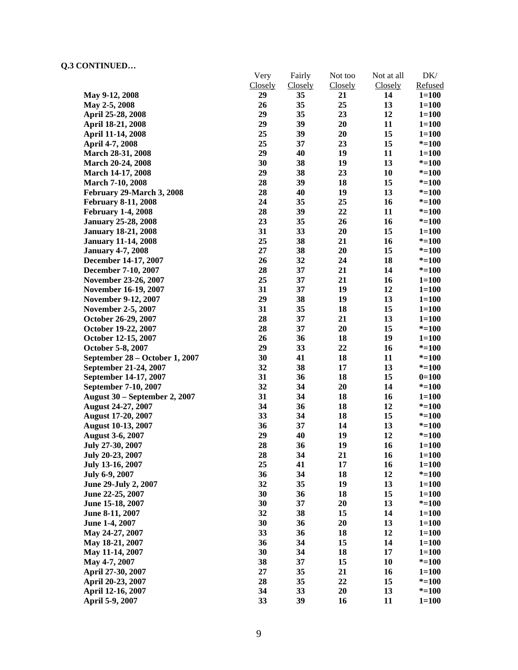|                                      | Very<br>Closely | Fairly<br>Closely | Not too<br>Closely | Not at all<br>Closely | $DK/$<br>Refused |
|--------------------------------------|-----------------|-------------------|--------------------|-----------------------|------------------|
| May 9-12, 2008                       | 29              | 35                | 21                 | 14                    | $1 = 100$        |
| May 2-5, 2008                        | 26              | 35                | 25                 | 13                    | $1 = 100$        |
| April 25-28, 2008                    | 29              | 35                | 23                 | 12                    | $1 = 100$        |
| April 18-21, 2008                    | 29              | 39                | 20                 | 11                    | $1 = 100$        |
| April 11-14, 2008                    | 25              | 39                | 20                 | 15                    | $1 = 100$        |
|                                      | 25              | 37                | 23                 | 15                    | $* = 100$        |
| April 4-7, 2008                      | 29              | 40                | 19                 | 11                    | $1 = 100$        |
| March 28-31, 2008                    | 30              | 38                | 19                 | 13                    |                  |
| March 20-24, 2008                    | 29              | 38                | 23                 | 10                    | $* = 100$        |
| March 14-17, 2008                    |                 |                   |                    |                       | $* = 100$        |
| <b>March 7-10, 2008</b>              | 28              | 39                | 18                 | 15                    | $* = 100$        |
| February 29-March 3, 2008            | 28              | 40                | 19                 | 13                    | $* = 100$        |
| <b>February 8-11, 2008</b>           | 24              | 35                | 25                 | 16                    | $* = 100$        |
| <b>February 1-4, 2008</b>            | 28              | 39                | 22                 | 11                    | $* = 100$        |
| <b>January 25-28, 2008</b>           | 23              | 35                | 26                 | 16                    | $* = 100$        |
| <b>January 18-21, 2008</b>           | 31              | 33                | 20                 | 15                    | $1 = 100$        |
| <b>January 11-14, 2008</b>           | 25              | 38                | 21                 | 16                    | $* = 100$        |
| <b>January 4-7, 2008</b>             | 27              | 38                | 20                 | 15                    | $* = 100$        |
| December 14-17, 2007                 | 26              | 32                | 24                 | 18                    | $* = 100$        |
| December 7-10, 2007                  | 28              | 37                | 21                 | 14                    | $* = 100$        |
| November 23-26, 2007                 | 25              | 37                | 21                 | 16                    | $1 = 100$        |
| November 16-19, 2007                 | 31              | 37                | 19                 | 12                    | $1 = 100$        |
| <b>November 9-12, 2007</b>           | 29              | 38                | 19                 | 13                    | $1 = 100$        |
| <b>November 2-5, 2007</b>            | 31              | 35                | 18                 | 15                    | $1 = 100$        |
| October 26-29, 2007                  | 28              | 37                | 21                 | 13                    | $1 = 100$        |
| October 19-22, 2007                  | 28              | 37                | 20                 | 15                    | $* = 100$        |
| October 12-15, 2007                  | 26              | 36                | 18                 | 19                    | $1 = 100$        |
| October 5-8, 2007                    | 29              | 33                | 22                 | 16                    | $* = 100$        |
| September 28 - October 1, 2007       | 30              | 41                | 18                 | 11                    | $* = 100$        |
| September 21-24, 2007                | 32              | 38                | 17                 | 13                    | $* = 100$        |
| September 14-17, 2007                | 31              | 36                | 18                 | 15                    | $0=100$          |
| September 7-10, 2007                 | 32              | 34                | 20                 | 14                    | $* = 100$        |
| <b>August 30 – September 2, 2007</b> | 31              | 34                | 18                 | 16                    | $1 = 100$        |
| August 24-27, 2007                   | 34              | 36                | 18                 | 12                    | $* = 100$        |
| August 17-20, 2007                   | 33              | 34                | 18                 | 15                    | $* = 100$        |
| <b>August 10-13, 2007</b>            | 36              | 37                | 14                 | 13                    | $* = 100$        |
| <b>August 3-6, 2007</b>              | 29              | 40                | 19                 | 12                    | $* = 100$        |
| July 27-30, 2007                     | 28              | 36                | 19                 | 16                    | $1 = 100$        |
| July 20-23, 2007                     | 28              | 34                | 21                 | 16                    | $1 = 100$        |
| July 13-16, 2007                     | 25              | 41                | 17                 | 16                    | $1 = 100$        |
| July 6-9, 2007                       | 36              | 34                | 18                 | 12                    | $* = 100$        |
| June 29-July 2, 2007                 | 32              | 35                | 19                 | 13                    | $1 = 100$        |
| June 22-25, 2007                     | 30              | 36                | 18                 | 15                    | $1 = 100$        |
| June 15-18, 2007                     | 30              | 37                | 20                 | 13                    | $* = 100$        |
| June 8-11, 2007                      | 32              | 38                | 15                 | 14                    | $1 = 100$        |
| June 1-4, 2007                       | 30              | 36                | 20                 | 13                    | $1 = 100$        |
| May 24-27, 2007                      | 33              | 36                | 18                 | 12                    | $1 = 100$        |
| May 18-21, 2007                      | 36              | 34                | 15                 | 14                    | $1 = 100$        |
| May 11-14, 2007                      | 30              | 34                | 18                 | 17                    | $1 = 100$        |
| May 4-7, 2007                        | 38              | 37                | 15                 | 10                    | $* = 100$        |
| April 27-30, 2007                    | 27              | 35                | 21                 | 16                    | $1 = 100$        |
| April 20-23, 2007                    | 28              | 35                | 22                 | 15                    | $* = 100$        |
| April 12-16, 2007                    | 34              | 33                | 20                 | 13                    | $* = 100$        |
| April 5-9, 2007                      | 33              | 39                | 16                 | 11                    | $1 = 100$        |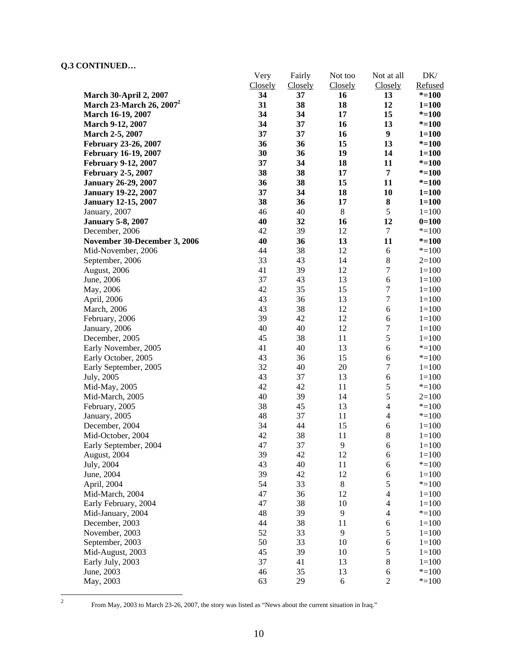|                               | Very     | Fairly         | Not too  | Not at all               | DK/       |
|-------------------------------|----------|----------------|----------|--------------------------|-----------|
|                               | Closely  | <b>Closely</b> | Closely  | Closely                  | Refused   |
| <b>March 30-April 2, 2007</b> | 34       | 37             | 16       | 13                       | $* = 100$ |
| March 23-March 26, $2007^2$   | 31<br>34 | 38<br>34       | 18       | 12<br>15                 | $1 = 100$ |
| March 16-19, 2007             |          |                | 17       |                          | $* = 100$ |
| March 9-12, 2007              | 34       | 37             | 16       | 13                       | $* = 100$ |
| March 2-5, 2007               | 37       | 37             | 16       | $\boldsymbol{9}$         | $1 = 100$ |
| February 23-26, 2007          | 36       | 36             | 15       | 13                       | $* = 100$ |
| <b>February 16-19, 2007</b>   | 30       | 36             | 19       | 14                       | $1 = 100$ |
| <b>February 9-12, 2007</b>    | 37       | 34             | 18       | 11                       | $* = 100$ |
| <b>February 2-5, 2007</b>     | 38       | 38             | 17       | 7                        | $* = 100$ |
| <b>January 26-29, 2007</b>    | 36       | 38<br>34       | 15<br>18 | 11                       | $* = 100$ |
| <b>January 19-22, 2007</b>    | 37       |                |          | 10                       | $1 = 100$ |
| <b>January 12-15, 2007</b>    | 38       | 36             | 17       | ${\bf 8}$<br>5           | $1 = 100$ |
| January, 2007                 | 46       | 40             | $8\,$    |                          | $1 = 100$ |
| <b>January 5-8, 2007</b>      | 40       | 32             | 16       | 12                       | $0=100$   |
| December, 2006                | 42       | 39             | 12       | $\tau$                   | $* = 100$ |
| November 30-December 3, 2006  | 40       | 36             | 13       | 11                       | $* = 100$ |
| Mid-November, 2006            | 44       | 38             | 12       | $\sqrt{6}$               | $* = 100$ |
| September, 2006               | 33       | 43             | 14       | $\,8\,$                  | $2=100$   |
| August, 2006                  | 41       | 39             | 12       | $\boldsymbol{7}$         | $1 = 100$ |
| June, 2006                    | 37       | 43             | 13       | 6                        | $1=100$   |
| May, 2006                     | 42       | 35             | 15       | $\boldsymbol{7}$         | $1 = 100$ |
| April, 2006                   | 43       | 36             | 13       | $\boldsymbol{7}$         | $1 = 100$ |
| <b>March</b> , 2006           | 43       | 38             | 12       | 6                        | $1 = 100$ |
| February, 2006                | 39       | 42             | 12       | 6                        | $1 = 100$ |
| January, 2006                 | 40       | 40             | 12       | $\boldsymbol{7}$         | $1 = 100$ |
| December, 2005                | 45       | 38             | 11       | 5                        | $1 = 100$ |
| Early November, 2005          | 41       | 40             | 13       | $\sqrt{6}$               | $* = 100$ |
| Early October, 2005           | 43       | 36             | 15       | $\epsilon$               | $* = 100$ |
| Early September, 2005         | 32       | 40             | 20       | $\boldsymbol{7}$         | $1 = 100$ |
| July, 2005                    | 43       | 37             | 13       | 6                        | $1 = 100$ |
| Mid-May, 2005                 | 42       | 42             | 11       | $\mathfrak s$            | $* = 100$ |
| Mid-March, 2005               | 40       | 39             | 14       | 5                        | $2=100$   |
| February, 2005                | 38       | 45             | 13       | $\overline{\mathcal{L}}$ | $* = 100$ |
| January, 2005                 | 48       | 37             | 11       | 4                        | $* = 100$ |
| December, 2004                | 34       | 44             | 15       | 6                        | $1 = 100$ |
| Mid-October, 2004             | 42       | 38             | 11       | $8\,$                    | $1 = 100$ |
| Early September, 2004         | 47       | 37             | 9        | 6                        | $1 = 100$ |
| August, 2004                  | 39       | 42             | 12       | 6                        | $1 = 100$ |
| July, 2004                    | 43       | 40             | 11       | 6                        | $* = 100$ |
| June, 2004                    | 39       | 42             | 12       | 6                        | $1 = 100$ |
| April, 2004                   | 54       | 33             | $8\,$    | 5                        | $* = 100$ |
| Mid-March, 2004               | 47       | 36             | 12       | $\overline{4}$           | $1 = 100$ |
| Early February, 2004          | 47       | 38             | 10       | $\overline{4}$           | $1 = 100$ |
| Mid-January, 2004             | 48       | 39             | 9        | $\overline{4}$           | $* = 100$ |
| December, 2003                | 44       | 38             | 11       | 6                        | $1 = 100$ |
| November, 2003                | 52       | 33             | 9        | 5                        | $1 = 100$ |
| September, 2003               | 50       | 33             | 10       | $\sqrt{6}$               | $1 = 100$ |
| Mid-August, 2003              | 45       | 39             | 10       | 5                        | $1 = 100$ |
| Early July, 2003              | 37       | 41             | 13       | $8\,$                    | $1 = 100$ |
| June, 2003                    | 46       | 35             | 13       | 6                        | $* = 100$ |
| May, 2003                     | 63       | 29             | 6        | $\sqrt{2}$               | $* = 100$ |

 $\frac{1}{2}$ 

From May, 2003 to March 23-26, 2007, the story was listed as "News about the current situation in Iraq."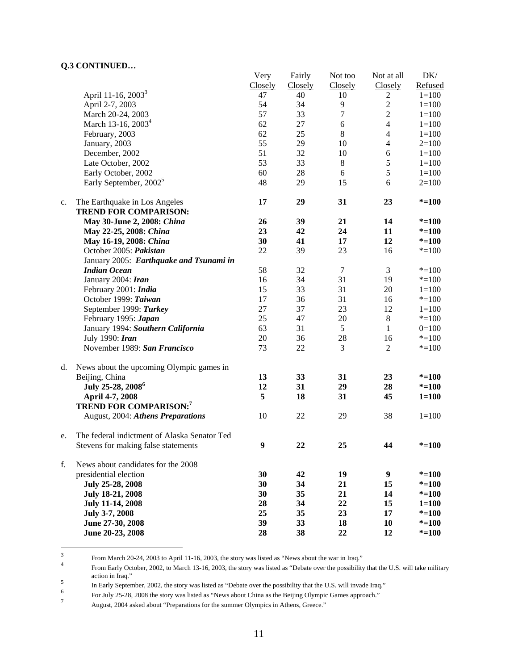|    |                                                                    | Very           | Fairly  | Not too        | Not at all       | DK/       |
|----|--------------------------------------------------------------------|----------------|---------|----------------|------------------|-----------|
|    |                                                                    | <b>Closely</b> | Closely | Closely        | Closely          | Refused   |
|    | April 11-16, 2003 <sup>3</sup>                                     | 47             | 40      | 10             | $\overline{c}$   | $1 = 100$ |
|    | April 2-7, 2003                                                    | 54             | 34      | 9              | $\overline{2}$   | $1 = 100$ |
|    | March 20-24, 2003                                                  | 57             | 33      | $\overline{7}$ | $\overline{2}$   | $1 = 100$ |
|    | March 13-16, 2003 <sup>4</sup>                                     | 62             | 27      | 6              | $\overline{4}$   | $1 = 100$ |
|    | February, 2003                                                     | 62             | 25      | $\,8\,$        | $\overline{4}$   | $1 = 100$ |
|    | January, 2003                                                      | 55             | 29      | 10             | $\overline{4}$   | $2=100$   |
|    | December, 2002                                                     | 51             | 32      | 10             | 6                | $1 = 100$ |
|    | Late October, 2002                                                 | 53             | 33      | $\,8\,$        | 5                | $1 = 100$ |
|    | Early October, 2002                                                | 60             | 28      | 6              | 5                | $1 = 100$ |
|    | Early September, 2002 <sup>5</sup>                                 | 48             | 29      | 15             | 6                | $2=100$   |
| c. | The Earthquake in Los Angeles<br><b>TREND FOR COMPARISON:</b>      | 17             | 29      | 31             | 23               | $* = 100$ |
|    | May 30-June 2, 2008: China                                         | 26             | 39      | 21             | 14               | $* = 100$ |
|    | May 22-25, 2008: China                                             | 23             | 42      | 24             | 11               | $* = 100$ |
|    | May 16-19, 2008: China                                             | 30             | 41      | 17             | 12               | $* = 100$ |
|    | October 2005: Pakistan                                             | 22             | 39      | 23             | 16               | $* = 100$ |
|    | January 2005: Earthquake and Tsunami in                            |                |         |                |                  |           |
|    | <b>Indian Ocean</b>                                                | 58             | 32      | $\tau$         | 3                | $* = 100$ |
|    | January 2004: Iran                                                 | 16             | 34      | 31             | 19               | $* = 100$ |
|    | February 2001: India                                               | 15             | 33      | 31             | 20               | $1 = 100$ |
|    | October 1999: Taiwan                                               | 17             | 36      | 31             | 16               | $* = 100$ |
|    | September 1999: Turkey                                             | 27             | 37      | 23             | 12               | $1 = 100$ |
|    | February 1995: Japan                                               | 25             | 47      | $20\,$         | $\,8\,$          | $* = 100$ |
|    | January 1994: Southern California                                  | 63             | 31      | 5              | 1                | $0=100$   |
|    | July 1990: Iran                                                    | 20             | 36      | 28             | 16               | $* = 100$ |
|    | November 1989: San Francisco                                       | 73             | 22      | 3              | $\overline{2}$   | $* = 100$ |
|    |                                                                    |                |         |                |                  |           |
| d. | News about the upcoming Olympic games in                           |                |         |                |                  |           |
|    | Beijing, China                                                     | 13             | 33      | 31             | 23               | $* = 100$ |
|    | July 25-28, 2008 <sup>6</sup>                                      | 12             | 31      | 29             | 28               | $* = 100$ |
|    | April 4-7, 2008                                                    | 5              | 18      | 31             | 45               | $1 = 100$ |
|    | <b>TREND FOR COMPARISON:7</b><br>August, 2004: Athens Preparations | 10             | 22      | 29             | 38               | $1 = 100$ |
| e. | The federal indictment of Alaska Senator Ted                       |                |         |                |                  |           |
|    | Stevens for making false statements                                | 9              | 22      | 25             | 44               | $* = 100$ |
|    |                                                                    |                |         |                |                  |           |
| f. | News about candidates for the 2008                                 |                |         |                |                  |           |
|    | presidential election                                              | 30             | 42      | 19             | $\boldsymbol{9}$ | $* = 100$ |
|    | July 25-28, 2008                                                   | 30             | 34      | 21             | 15               | $* = 100$ |
|    | July 18-21, 2008                                                   | 30             | 35      | 21             | 14               | $* = 100$ |
|    | July 11-14, 2008                                                   | 28             | 34      | 22             | 15               | $1 = 100$ |
|    | July 3-7, 2008                                                     | 25             | 35      | 23             | 17               | $* = 100$ |
|    | June 27-30, 2008                                                   | 39             | 33      | 18             | 10               | $* = 100$ |
|    | June 20-23, 2008                                                   | 28             | 38      | 22             | 12               | $* = 100$ |

 $\frac{1}{3}$ From March 20-24, 2003 to April 11-16, 2003, the story was listed as "News about the war in Iraq."<br>From Exile Ostabas 2002, to March 12, 16, 2002, the stars was listed as "Dabata superbanearikility

From Early October, 2002, to March 13-16, 2003, the story was listed as "Debate over the possibility that the U.S. will take military action in Iraq." 5

In Early September, 2002, the story was listed as "Debate over the possibility that the U.S. will invade Iraq."<br><sup>6</sup> Early 15.28, 2008 the story was listed as "Navy about China as the Bailing Olympic Games approach."

For July 25-28, 2008 the story was listed as "News about China as the Beijing Olympic Games approach."

August, 2004 asked about "Preparations for the summer Olympics in Athens, Greece."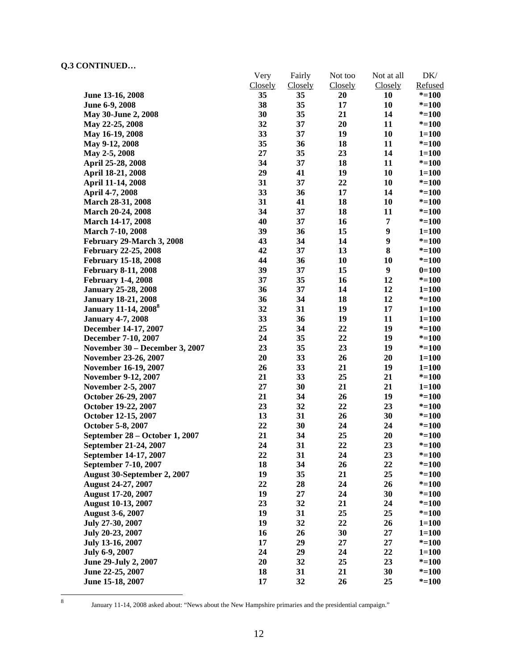|                                         | Very    | Fairly  | Not too | Not at all       | DK/       |
|-----------------------------------------|---------|---------|---------|------------------|-----------|
|                                         | Closely | Closely | Closely | Closely          | Refused   |
| June 13-16, 2008                        | 35      | 35      | 20      | 10               | $* = 100$ |
| June 6-9, 2008                          | 38      | 35      | 17      | 10               | $* = 100$ |
| May 30-June 2, 2008                     | 30      | 35      | 21      | 14               | $* = 100$ |
| May 22-25, 2008                         | 32      | 37      | 20      | 11               | $* = 100$ |
| May 16-19, 2008                         | 33      | 37      | 19      | 10               | $1 = 100$ |
| May 9-12, 2008                          | 35      | 36      | 18      | 11               | $* = 100$ |
| May 2-5, 2008                           | 27      | 35      | 23      | 14               | $1 = 100$ |
| April 25-28, 2008                       | 34      | 37      | 18      | 11               | $* = 100$ |
| April 18-21, 2008                       | 29      | 41      | 19      | 10               | $1 = 100$ |
| April 11-14, 2008                       | 31      | 37      | 22      | 10               | $* = 100$ |
| April 4-7, 2008                         | 33      | 36      | 17      | 14               | $* = 100$ |
| March 28-31, 2008                       | 31      | 41      | 18      | 10               | $* = 100$ |
| <b>March 20-24, 2008</b>                | 34      | 37      | 18      | 11               | $* = 100$ |
| <b>March 14-17, 2008</b>                | 40      | 37      | 16      | 7                | $* = 100$ |
| <b>March 7-10, 2008</b>                 | 39      | 36      | 15      | $\boldsymbol{9}$ | $1 = 100$ |
| February 29-March 3, 2008               | 43      | 34      | 14      | 9                | $* = 100$ |
| <b>February 22-25, 2008</b>             | 42      | 37      | 13      | 8                | $* = 100$ |
| <b>February 15-18, 2008</b>             | 44      | 36      | 10      | 10               | $* = 100$ |
| <b>February 8-11, 2008</b>              | 39      | 37      | 15      | $\boldsymbol{9}$ | $0=100$   |
| <b>February 1-4, 2008</b>               | 37      | 35      | 16      | 12               | $* = 100$ |
| <b>January 25-28, 2008</b>              | 36      | 37      | 14      | 12               | $1 = 100$ |
| <b>January 18-21, 2008</b>              | 36      | 34      | 18      | 12               | $* = 100$ |
| <b>January 11-14, 2008</b> <sup>8</sup> | 32      | 31      | 19      | 17               | $1 = 100$ |
| <b>January 4-7, 2008</b>                | 33      | 36      | 19      | 11               | $1 = 100$ |
| December 14-17, 2007                    | 25      | 34      | 22      | 19               | $* = 100$ |
| December 7-10, 2007                     | 24      | 35      | 22      | 19               | $* = 100$ |
| November 30 - December 3, 2007          | 23      | 35      | 23      | 19               | $* = 100$ |
| November 23-26, 2007                    | 20      | 33      | 26      | 20               | $1 = 100$ |
| November 16-19, 2007                    | 26      | 33      | 21      | 19               | $1 = 100$ |
| <b>November 9-12, 2007</b>              | 21      | 33      | 25      | 21               | $* = 100$ |
| <b>November 2-5, 2007</b>               | 27      | 30      | 21      | 21               | $1 = 100$ |
| October 26-29, 2007                     | 21      | 34      | 26      | 19               | $* = 100$ |
| October 19-22, 2007                     | 23      | 32      | 22      | 23               | $* = 100$ |
| October 12-15, 2007                     | 13      | 31      | 26      | 30               | $* = 100$ |
| October 5-8, 2007                       | 22      | 30      | 24      | 24               | $* = 100$ |
| September 28 - October 1, 2007          | 21      | 34      | 25      | 20               | $* = 100$ |
| September 21-24, 2007                   | 24      | 31      | 22      | 23               | $* = 100$ |
| September 14-17, 2007                   | 22      | 31      | 24      | 23               | $* = 100$ |
| September 7-10, 2007                    | 18      | 34      | 26      | 22               | $* = 100$ |
| <b>August 30-September 2, 2007</b>      | 19      | 35      | 21      | 25               | $* = 100$ |
| August 24-27, 2007                      | 22      | 28      | 24      | 26               | $* = 100$ |
| <b>August 17-20, 2007</b>               | 19      | 27      | 24      | 30               | $* = 100$ |
| <b>August 10-13, 2007</b>               | 23      | 32      | 21      | 24               | $* = 100$ |
| <b>August 3-6, 2007</b>                 | 19      | 31      | 25      | 25               | $* = 100$ |
| July 27-30, 2007                        | 19      | 32      | 22      | 26               | $1 = 100$ |
| July 20-23, 2007                        | 16      | 26      | 30      | 27               | $1 = 100$ |
| July 13-16, 2007                        | 17      | 29      | 27      | 27               | $* = 100$ |
| July 6-9, 2007                          | 24      | 29      | 24      | 22               | $1 = 100$ |
| June 29-July 2, 2007                    | 20      | 32      | 25      | 23               | $* = 100$ |
| June 22-25, 2007                        | 18      | 31      | 21      | 30               | $* = 100$ |
| June 15-18, 2007                        | 17      | 32      | 26      | 25               | $* = 100$ |
|                                         |         |         |         |                  |           |

8

January 11-14, 2008 asked about: "News about the New Hampshire primaries and the presidential campaign."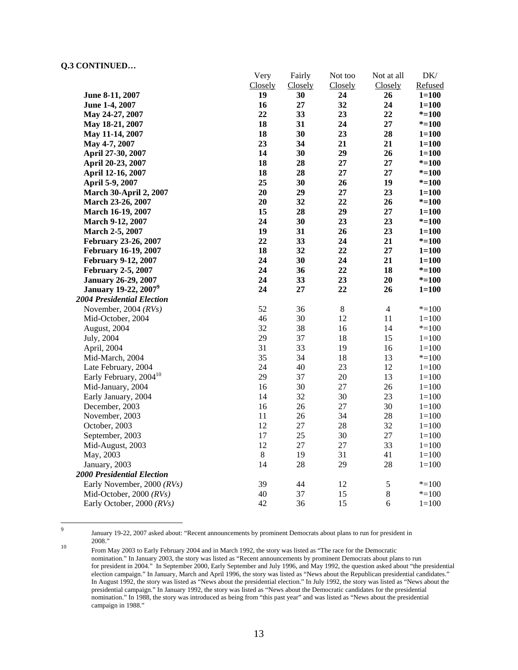-<br>9

|                                         | very    | <b>Fairly</b> | <b>NOT TOO</b> | <b>NOT</b> at all | DK/       |
|-----------------------------------------|---------|---------------|----------------|-------------------|-----------|
|                                         | Closely | Closely       | Closely        | Closely           | Refused   |
| June 8-11, 2007                         | 19      | 30            | 24             | 26                | $1 = 100$ |
| June 1-4, 2007                          | 16      | 27            | 32             | 24                | $1 = 100$ |
| May 24-27, 2007                         | 22      | 33            | 23             | 22                | $* = 100$ |
| May 18-21, 2007                         | 18      | 31            | 24             | 27                | $* = 100$ |
| May 11-14, 2007                         | 18      | 30            | 23             | 28                | $1 = 100$ |
| May 4-7, 2007                           | 23      | 34            | 21             | 21                | $1 = 100$ |
| April 27-30, 2007                       | 14      | 30            | 29             | 26                | $1 = 100$ |
| April 20-23, 2007                       | 18      | 28            | 27             | 27                | $* = 100$ |
| April 12-16, 2007                       | 18      | 28            | 27             | 27                | $* = 100$ |
| April 5-9, 2007                         | 25      | 30            | 26             | 19                | $* = 100$ |
| <b>March 30-April 2, 2007</b>           | 20      | 29            | 27             | 23                | $1 = 100$ |
| March 23-26, 2007                       | 20      | 32            | 22             | 26                | $* = 100$ |
| March 16-19, 2007                       | 15      | 28            | 29             | 27                | $1 = 100$ |
| March 9-12, 2007                        | 24      | 30            | 23             | 23                | $* = 100$ |
| March 2-5, 2007                         | 19      | 31            | 26             | 23                | $1 = 100$ |
| <b>February 23-26, 2007</b>             | 22      | 33            | 24             | 21                | $* = 100$ |
| <b>February 16-19, 2007</b>             | 18      | 32            | 22             | $27\,$            | $1 = 100$ |
| February 9-12, 2007                     | 24      | 30            | 24             | 21                | $1 = 100$ |
| <b>February 2-5, 2007</b>               | 24      | 36            | 22             | 18                | $* = 100$ |
| <b>January 26-29, 2007</b>              | 24      | 33            | 23             | 20                | $* = 100$ |
| <b>January 19-22, 2007</b> <sup>9</sup> | 24      | 27            | 22             | 26                | $1 = 100$ |
| <b>2004 Presidential Election</b>       |         |               |                |                   |           |
| November, 2004 $(RVs)$                  | 52      | 36            | $\,8\,$        | $\overline{4}$    | $* = 100$ |
| Mid-October, 2004                       | 46      | 30            | 12             | 11                | $1 = 100$ |
| August, 2004                            | 32      | 38            | 16             | 14                | $* = 100$ |
| July, 2004                              | 29      | 37            | 18             | 15                | $1 = 100$ |
| April, 2004                             | 31      | 33            | 19             | 16                | $1 = 100$ |
| Mid-March, 2004                         | 35      | 34            | 18             | 13                | $* = 100$ |
| Late February, 2004                     | 24      | 40            | 23             | 12                | $1 = 100$ |
| Early February, 2004 <sup>10</sup>      | 29      | 37            | 20             | 13                | $1 = 100$ |
| Mid-January, 2004                       | 16      | 30            | 27             | 26                | $1 = 100$ |
| Early January, 2004                     | 14      | 32            | 30             | 23                | $1 = 100$ |
| December, 2003                          | 16      | 26            | 27             | 30                | $1 = 100$ |
| November, 2003                          | 11      | 26            | 34             | 28                | $1 = 100$ |
| October, 2003                           | 12      | $27\,$        | 28             | 32                | $1 = 100$ |
| September, 2003                         | 17      | 25            | 30             | $27\,$            | $1 = 100$ |
| Mid-August, 2003                        | 12      | 27            | 27             | 33                | $1 = 100$ |
| May, 2003                               | $\bf 8$ | 19            | 31             | 41                | $1 = 100$ |
| January, 2003                           | 14      | 28            | 29             | 28                | $1 = 100$ |
| <b>2000 Presidential Election</b>       |         |               |                |                   |           |
| Early November, 2000 (RVs)              | 39      | 44            | 12             | $\mathfrak s$     | $* = 100$ |
| Mid-October, 2000 (RVs)                 | 40      | 37            | 15             | $\bf 8$           | $* = 100$ |
| Early October, 2000 (RVs)               | 42      | 36            | 15             | 6                 | $1 = 100$ |

Very

 $\mathbf{F}$  is a

Not too

Not at all

 $\mathbf{D}$ 

January 19-22, 2007 asked about: "Recent announcements by prominent Democrats about plans to run for president in

<sup>&</sup>lt;sup>10</sup> From May 2003 to Early February 2004 and in March 1992, the story was listed as "The race for the Democratic nomination." In January 2003, the story was listed as "Recent announcements by prominent Democrats about plans to run for president in 2004." In September 2000, Early September and July 1996, and May 1992, the question asked about "the presidential election campaign." In January, March and April 1996, the story was listed as "News about the Republican presidential candidates." In August 1992, the story was listed as "News about the presidential election." In July 1992, the story was listed as "News about the presidential campaign." In January 1992, the story was listed as "News about the Democratic candidates for the presidential nomination." In 1988, the story was introduced as being from "this past year" and was listed as "News about the presidential campaign in 1988."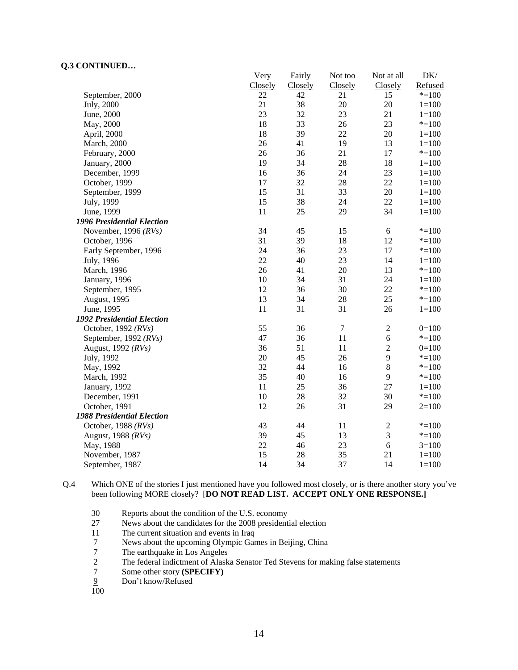| DK/<br>Not at all<br>Refused<br>Closely | Not too<br>Closely | Fairly<br>Closely | Very<br>Closely |                                   |
|-----------------------------------------|--------------------|-------------------|-----------------|-----------------------------------|
| 15<br>$* = 100$                         | 21                 | 42                | 22              | September, 2000                   |
| 20<br>$1 = 100$                         | 20                 | 38                | 21              | July, 2000                        |
| 21<br>$1 = 100$                         | 23                 | 32                | 23              | June, 2000                        |
| 23<br>$* = 100$                         | 26                 | 33                | 18              | May, 2000                         |
| 20<br>$1 = 100$                         | 22                 | 39                | 18              | April, 2000                       |
| 13<br>$1 = 100$                         | 19                 | 41                | 26              | <b>March</b> , 2000               |
| 17<br>$* = 100$                         | 21                 | 36                | 26              | February, 2000                    |
| 18<br>$1 = 100$                         | 28                 | 34                | 19              | January, 2000                     |
| 23<br>$1 = 100$                         | 24                 | 36                | 16              | December, 1999                    |
| 22<br>$1 = 100$                         | 28                 | 32                | 17              | October, 1999                     |
| 20<br>$1 = 100$                         | 33                 | 31                | 15              | September, 1999                   |
| 22<br>$1 = 100$                         | 24                 | 38                | 15              | July, 1999                        |
| 34<br>$1 = 100$                         | 29                 | 25                | 11              | June, 1999                        |
|                                         |                    |                   |                 | <b>1996 Presidential Election</b> |
| 6<br>$* = 100$                          | 15                 | 45                | 34              | November, 1996 $(RVs)$            |
| 12<br>$* = 100$                         | 18                 | 39                | 31              | October, 1996                     |
| 17<br>$* = 100$                         | 23                 | 36                | 24              | Early September, 1996             |
| 14<br>$1 = 100$                         | 23                 | 40                | 22              | July, 1996                        |
| 13<br>$* = 100$                         | 20                 | 41                | 26              | March, 1996                       |
| 24<br>$1 = 100$                         | 31                 | 34                | 10              | January, 1996                     |
| 22<br>$* = 100$                         | 30                 | 36                | 12              | September, 1995                   |
| 25<br>$* = 100$                         | 28                 | 34                | 13              | August, 1995                      |
| 26<br>$1 = 100$                         | 31                 | 31                | 11              | June, 1995                        |
|                                         |                    |                   |                 | 1992 Presidential Election        |
| $\boldsymbol{2}$<br>$0=100$             | $\boldsymbol{7}$   | 36                | 55              | October, 1992 $(RVs)$             |
| $\sqrt{6}$<br>$* = 100$                 | 11                 | 36                | 47              | September, 1992 (RVs)             |
| $\sqrt{2}$<br>$0=100$                   | 11                 | 51                | 36              | August, 1992 (RVs)                |
| 9<br>$*=100$                            | 26                 | 45                | 20              | July, 1992                        |
| $\,8\,$<br>$* = 100$                    | 16                 | 44                | 32              | May, 1992                         |
| 9<br>$* = 100$                          | 16                 | 40                | 35              | March, 1992                       |
| 27<br>$1 = 100$                         | 36                 | 25                | 11              | January, 1992                     |
| 30<br>$* = 100$                         | 32                 | 28                | 10              | December, 1991                    |
| 29<br>$2=100$                           | 31                 | 26                | 12              | October, 1991                     |
|                                         |                    |                   |                 | <b>1988 Presidential Election</b> |
| $\boldsymbol{2}$<br>$* = 100$           | 11                 | 44                | 43              | October, 1988 $(RVs)$             |
| $\mathfrak{Z}$<br>$* = 100$             | 13                 | 45                | 39              |                                   |
| $\sqrt{6}$<br>$3=100$                   | 23                 | 46                | 22              | May, 1988                         |
| 21<br>$1 = 100$                         | 35                 | 28                | 15              | November, 1987                    |
| 14<br>$1 = 100$                         | 37                 | 34                | 14              | September, 1987                   |
|                                         |                    |                   |                 | August, 1988 (RVs)                |

Q.4 Which ONE of the stories I just mentioned have you followed most closely, or is there another story you've been following MORE closely? [**DO NOT READ LIST. ACCEPT ONLY ONE RESPONSE.]** 

- 30 Reports about the condition of the U.S. economy<br>27 News about the candidates for the 2008 president
- 27 News about the candidates for the 2008 presidential election<br>11 The current situation and events in Iraq
- The current situation and events in Iraq
- 7 News about the upcoming Olympic Games in Beijing, China
- 7 The earthquake in Los Angeles<br>2 The federal indictment of Alask
- 2 The federal indictment of Alaska Senator Ted Stevens for making false statements<br>7 Some other story (SPECIFY)
- 7 Some other story **(SPECIFY)**<br>2 Don't know/Refused
- Don't know/Refused

100